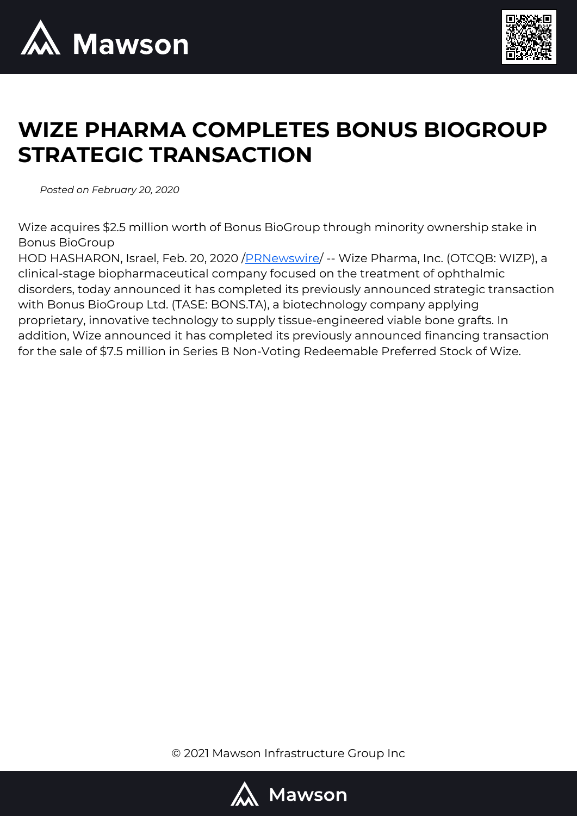



# **WIZE PHARMA COMPLETES BONUS BIOGROUP STRATEGIC TRANSACTION**

*Posted on February 20, 2020*

Wize acquires \$2.5 million worth of Bonus BioGroup through minority ownership stake in Bonus BioGroup

HOD HASHARON, Israel, Feb. 20, 2020 / PRNewswire/ -- Wize Pharma, Inc. (OTCQB: WIZP), a clinical-stage biopharmaceutical company focused on the treatment of ophthalmic disorders, today announced it has completed its previously announced strategic transaction with Bonus BioGroup Ltd. (TASE: BONS.TA), a biotechnology company applying proprietary, innovative technology to supply tissue-engineered viable bone grafts. In addition, Wize announced it has completed its previously announced financing transaction for the sale of \$7.5 million in Series B Non-Voting Redeemable Preferred Stock of Wize.

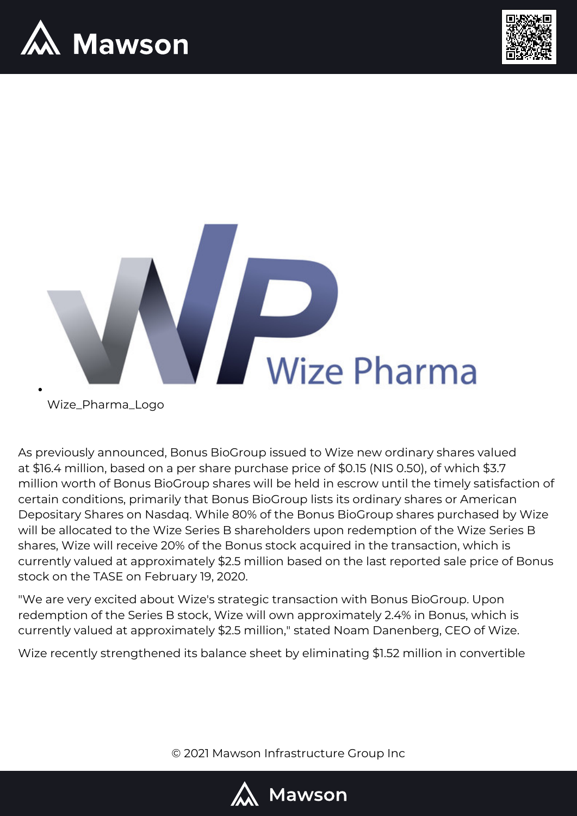





Wize\_Pharma\_Logo

As previously announced, Bonus BioGroup issued to Wize new ordinary shares valued at \$16.4 million, based on a per share purchase price of \$0.15 (NIS 0.50), of which \$3.7 million worth of Bonus BioGroup shares will be held in escrow until the timely satisfaction of certain conditions, primarily that Bonus BioGroup lists its ordinary shares or American Depositary Shares on Nasdaq. While 80% of the Bonus BioGroup shares purchased by Wize will be allocated to the Wize Series B shareholders upon redemption of the Wize Series B shares, Wize will receive 20% of the Bonus stock acquired in the transaction, which is currently valued at approximately \$2.5 million based on the last reported sale price of Bonus stock on the TASE on February 19, 2020.

"We are very excited about Wize's strategic transaction with Bonus BioGroup. Upon redemption of the Series B stock, Wize will own approximately 2.4% in Bonus, which is currently valued at approximately \$2.5 million," stated Noam Danenberg, CEO of Wize.

Wize recently strengthened its balance sheet by eliminating \$1.52 million in convertible

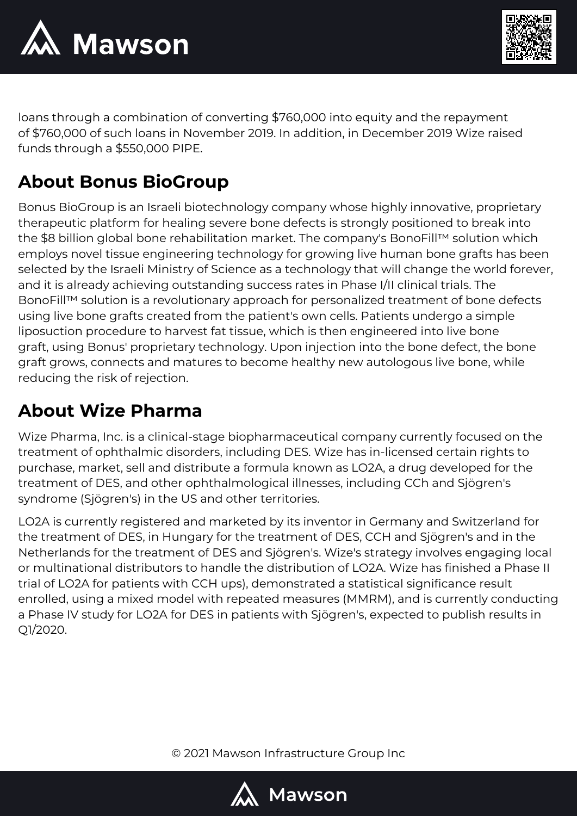



loans through a combination of converting \$760,000 into equity and the repayment of \$760,000 of such loans in November 2019. In addition, in December 2019 Wize raised funds through a \$550,000 PIPE.

## **About Bonus BioGroup**

Bonus BioGroup is an Israeli biotechnology company whose highly innovative, proprietary therapeutic platform for healing severe bone defects is strongly positioned to break into the \$8 billion global bone rehabilitation market. The company's BonoFill™ solution which employs novel tissue engineering technology for growing live human bone grafts has been selected by the Israeli Ministry of Science as a technology that will change the world forever, and it is already achieving outstanding success rates in Phase I/II clinical trials. The BonoFill™ solution is a revolutionary approach for personalized treatment of bone defects using live bone grafts created from the patient's own cells. Patients undergo a simple liposuction procedure to harvest fat tissue, which is then engineered into live bone graft, using Bonus' proprietary technology. Upon injection into the bone defect, the bone graft grows, connects and matures to become healthy new autologous live bone, while reducing the risk of rejection.

# **About Wize Pharma**

Wize Pharma, Inc. is a clinical-stage biopharmaceutical company currently focused on the treatment of ophthalmic disorders, including DES. Wize has in-licensed certain rights to purchase, market, sell and distribute a formula known as LO2A, a drug developed for the treatment of DES, and other ophthalmological illnesses, including CCh and Sjögren's syndrome (Sjögren's) in the US and other territories.

LO2A is currently registered and marketed by its inventor in Germany and Switzerland for the treatment of DES, in Hungary for the treatment of DES, CCH and Sjögren's and in the Netherlands for the treatment of DES and Sjögren's. Wize's strategy involves engaging local or multinational distributors to handle the distribution of LO2A. Wize has finished a Phase II trial of LO2A for patients with CCH ups), demonstrated a statistical significance result enrolled, using a mixed model with repeated measures (MMRM), and is currently conducting a Phase IV study for LO2A for DES in patients with Sjögren's, expected to publish results in Q1/2020.

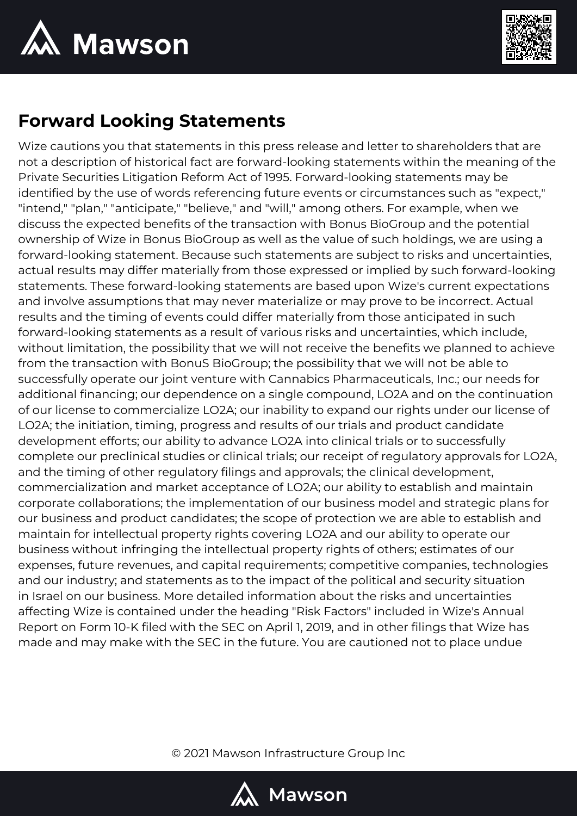



### **Forward Looking Statements**

Wize cautions you that statements in this press release and letter to shareholders that are not a description of historical fact are forward-looking statements within the meaning of the Private Securities Litigation Reform Act of 1995. Forward-looking statements may be identified by the use of words referencing future events or circumstances such as "expect," "intend," "plan," "anticipate," "believe," and "will," among others. For example, when we discuss the expected benefits of the transaction with Bonus BioGroup and the potential ownership of Wize in Bonus BioGroup as well as the value of such holdings, we are using a forward-looking statement. Because such statements are subject to risks and uncertainties, actual results may differ materially from those expressed or implied by such forward-looking statements. These forward-looking statements are based upon Wize's current expectations and involve assumptions that may never materialize or may prove to be incorrect. Actual results and the timing of events could differ materially from those anticipated in such forward-looking statements as a result of various risks and uncertainties, which include, without limitation, the possibility that we will not receive the benefits we planned to achieve from the transaction with BonuS BioGroup; the possibility that we will not be able to successfully operate our joint venture with Cannabics Pharmaceuticals, Inc.; our needs for additional financing; our dependence on a single compound, LO2A and on the continuation of our license to commercialize LO2A; our inability to expand our rights under our license of LO2A; the initiation, timing, progress and results of our trials and product candidate development efforts; our ability to advance LO2A into clinical trials or to successfully complete our preclinical studies or clinical trials; our receipt of regulatory approvals for LO2A, and the timing of other regulatory filings and approvals; the clinical development, commercialization and market acceptance of LO2A; our ability to establish and maintain corporate collaborations; the implementation of our business model and strategic plans for our business and product candidates; the scope of protection we are able to establish and maintain for intellectual property rights covering LO2A and our ability to operate our business without infringing the intellectual property rights of others; estimates of our expenses, future revenues, and capital requirements; competitive companies, technologies and our industry; and statements as to the impact of the political and security situation in Israel on our business. More detailed information about the risks and uncertainties affecting Wize is contained under the heading "Risk Factors" included in Wize's Annual Report on Form 10-K filed with the SEC on April 1, 2019, and in other filings that Wize has made and may make with the SEC in the future. You are cautioned not to place undue